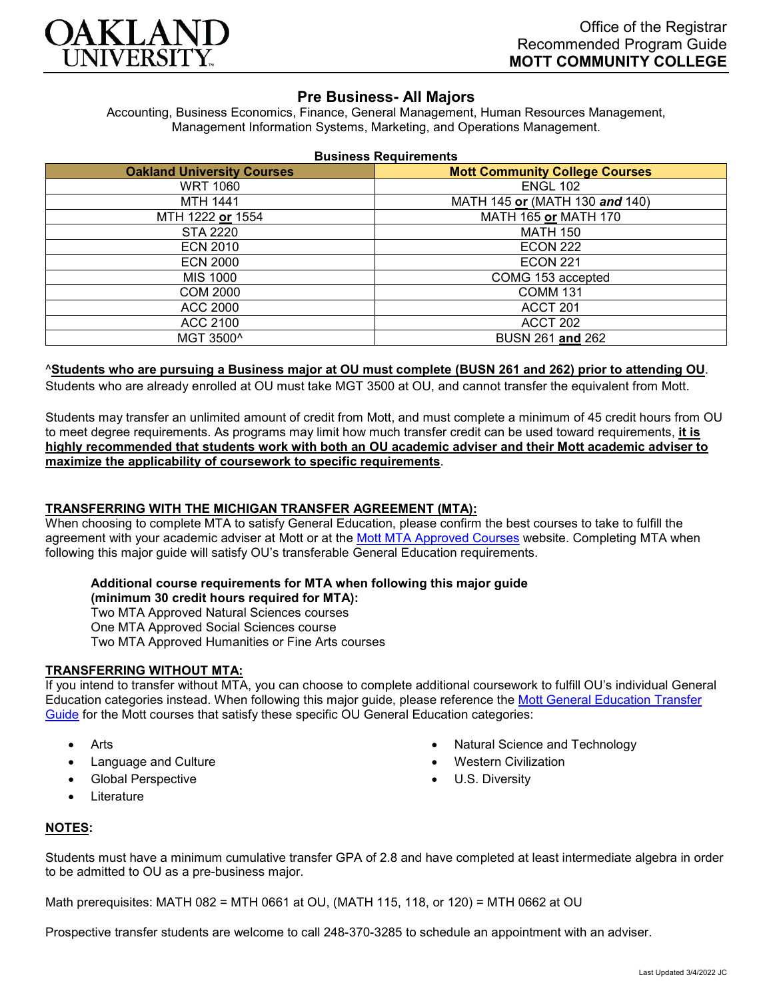

# **Pre Business- All Majors**

Accounting, Business Economics, Finance, General Management, Human Resources Management, Management Information Systems, Marketing, and Operations Management.

|  | <b>Business Requirements</b> |  |
|--|------------------------------|--|
|--|------------------------------|--|

| <b>Oakland University Courses</b> | <b>Mott Community College Courses</b> |
|-----------------------------------|---------------------------------------|
| <b>WRT 1060</b>                   | <b>ENGL 102</b>                       |
| MTH 1441                          | MATH 145 or (MATH 130 and 140)        |
| MTH 1222 or 1554                  | MATH 165 or MATH 170                  |
| STA 2220                          | <b>MATH 150</b>                       |
| <b>ECN 2010</b>                   | <b>ECON 222</b>                       |
| <b>ECN 2000</b>                   | <b>ECON 221</b>                       |
| MIS 1000                          | COMG 153 accepted                     |
| <b>COM 2000</b>                   | <b>COMM 131</b>                       |
| ACC 2000                          | ACCT 201                              |
| ACC 2100                          | ACCT 202                              |
| MGT 3500^                         | BUSN 261 and 262                      |

#### ^**Students who are pursuing a Business major at OU must complete (BUSN 261 and 262) prior to attending OU**.

Students who are already enrolled at OU must take MGT 3500 at OU, and cannot transfer the equivalent from Mott.

Students may transfer an unlimited amount of credit from Mott, and must complete a minimum of 45 credit hours from OU to meet degree requirements. As programs may limit how much transfer credit can be used toward requirements, **it is highly recommended that students work with both an OU academic adviser and their Mott academic adviser to maximize the applicability of coursework to specific requirements**.

#### **TRANSFERRING WITH THE MICHIGAN TRANSFER AGREEMENT (MTA):**

When choosing to complete MTA to satisfy General Education, please confirm the best courses to take to fulfill the agreement with your academic adviser at Mott or at the [Mott MTA Approved Courses](https://www.mcc.edu/transfer/mi-transfer-agreement.shtml) website. Completing MTA when following this major guide will satisfy OU's transferable General Education requirements.

#### **Additional course requirements for MTA when following this major guide**

**(minimum 30 credit hours required for MTA):**

Two MTA Approved Natural Sciences courses

One MTA Approved Social Sciences course

Two MTA Approved Humanities or Fine Arts courses

#### **TRANSFERRING WITHOUT MTA:**

If you intend to transfer without MTA, you can choose to complete additional coursework to fulfill OU's individual General Education categories instead. When following this major guide, please reference the [Mott General Education Transfer](https://www.oakland.edu/Assets/Oakland/program-guides/mott-community-college/university-general-education-requirements/Mott%20Gen%20Ed.pdf)  [Guide](https://www.oakland.edu/Assets/Oakland/program-guides/mott-community-college/university-general-education-requirements/Mott%20Gen%20Ed.pdf) for the Mott courses that satisfy these specific OU General Education categories:

- Arts
- Language and Culture
- Global Perspective
- **Literature**
- Natural Science and Technology
- Western Civilization
- U.S. Diversity

### **NOTES:**

Students must have a minimum cumulative transfer GPA of 2.8 and have completed at least intermediate algebra in order to be admitted to OU as a pre-business major.

Math prerequisites: MATH 082 = MTH 0661 at OU, (MATH 115, 118, or 120) = MTH 0662 at OU

Prospective transfer students are welcome to call 248-370-3285 to schedule an appointment with an adviser.